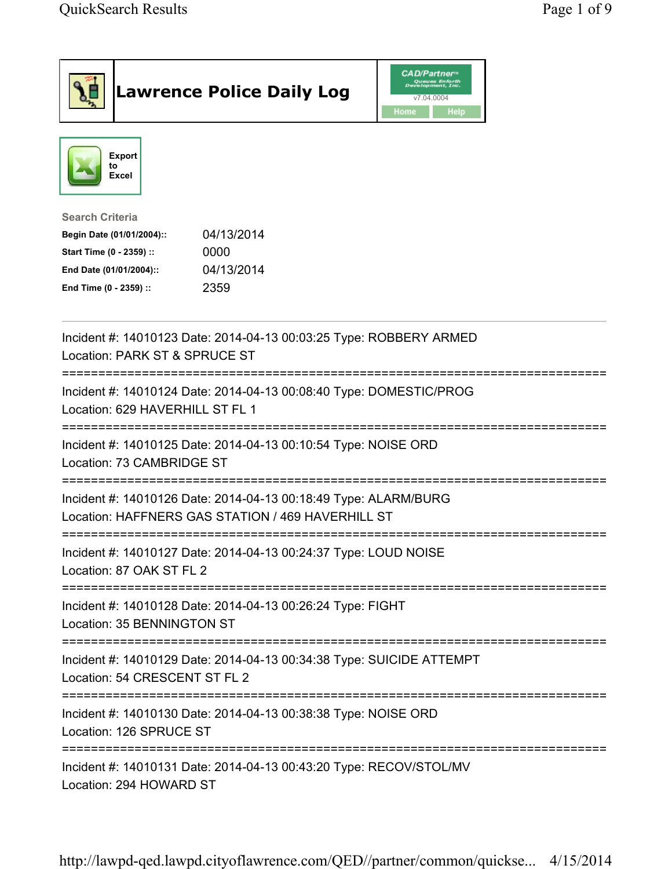| <b>Lawrence Police Daily Log</b>                                                                                                                                                 | <b>CAD/Partner</b> ®<br>Queues Enforth<br>Development, Inc.<br>v7.04.0004<br>Home<br><b>Help</b> |
|----------------------------------------------------------------------------------------------------------------------------------------------------------------------------------|--------------------------------------------------------------------------------------------------|
| <b>Export</b><br>to<br>Excel                                                                                                                                                     |                                                                                                  |
| <b>Search Criteria</b><br>04/13/2014<br>Begin Date (01/01/2004)::<br>Start Time (0 - 2359) ::<br>0000<br>04/13/2014<br>End Date (01/01/2004)::<br>2359<br>End Time (0 - 2359) :: |                                                                                                  |
| Incident #: 14010123 Date: 2014-04-13 00:03:25 Type: ROBBERY ARMED<br>Location: PARK ST & SPRUCE ST                                                                              |                                                                                                  |
| Incident #: 14010124 Date: 2014-04-13 00:08:40 Type: DOMESTIC/PROG<br>Location: 629 HAVERHILL ST FL 1                                                                            |                                                                                                  |
| Incident #: 14010125 Date: 2014-04-13 00:10:54 Type: NOISE ORD<br>Location: 73 CAMBRIDGE ST                                                                                      |                                                                                                  |
| Incident #: 14010126 Date: 2014-04-13 00:18:49 Type: ALARM/BURG<br>Location: HAFFNERS GAS STATION / 469 HAVERHILL ST                                                             |                                                                                                  |
| Incident #: 14010127 Date: 2014-04-13 00:24:37 Type: LOUD NOISE<br>Location: 87 OAK ST FL 2                                                                                      |                                                                                                  |
| Incident #: 14010128 Date: 2014-04-13 00:26:24 Type: FIGHT<br>Location: 35 BENNINGTON ST                                                                                         |                                                                                                  |
| Incident #: 14010129 Date: 2014-04-13 00:34:38 Type: SUICIDE ATTEMPT<br>Location: 54 CRESCENT ST FL 2                                                                            |                                                                                                  |
| Incident #: 14010130 Date: 2014-04-13 00:38:38 Type: NOISE ORD<br>Location: 126 SPRUCE ST                                                                                        |                                                                                                  |
| Incident #: 14010131 Date: 2014-04-13 00:43:20 Type: RECOV/STOL/MV<br>Location: 294 HOWARD ST                                                                                    |                                                                                                  |

http://lawpd-qed.lawpd.cityoflawrence.com/QED//partner/common/quickse... 4/15/2014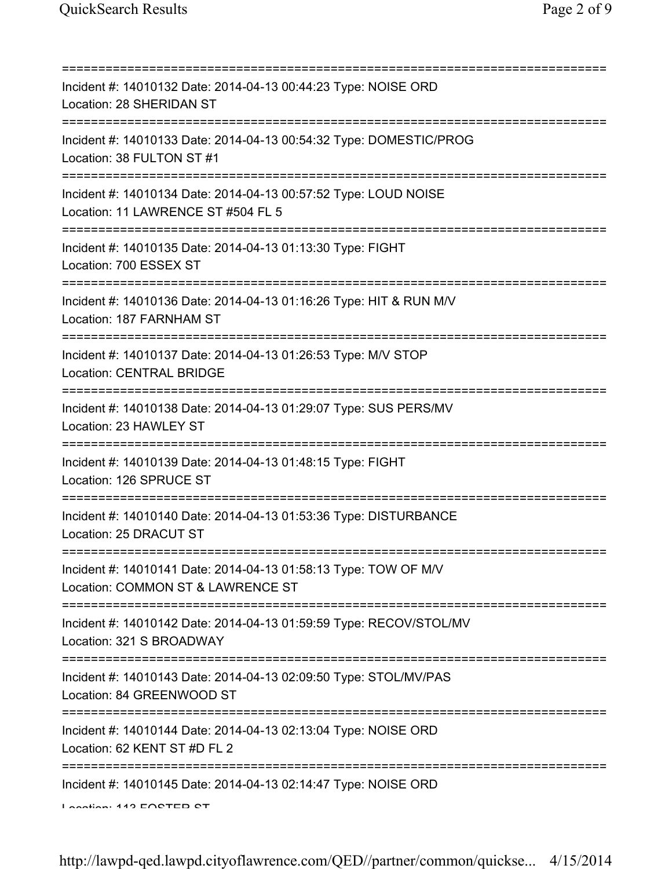| Incident #: 14010132 Date: 2014-04-13 00:44:23 Type: NOISE ORD<br>Location: 28 SHERIDAN ST                                        |
|-----------------------------------------------------------------------------------------------------------------------------------|
| Incident #: 14010133 Date: 2014-04-13 00:54:32 Type: DOMESTIC/PROG<br>Location: 38 FULTON ST #1                                   |
| Incident #: 14010134 Date: 2014-04-13 00:57:52 Type: LOUD NOISE<br>Location: 11 LAWRENCE ST #504 FL 5                             |
| Incident #: 14010135 Date: 2014-04-13 01:13:30 Type: FIGHT<br>Location: 700 ESSEX ST                                              |
| Incident #: 14010136 Date: 2014-04-13 01:16:26 Type: HIT & RUN M/V<br>Location: 187 FARNHAM ST                                    |
| Incident #: 14010137 Date: 2014-04-13 01:26:53 Type: M/V STOP<br><b>Location: CENTRAL BRIDGE</b>                                  |
| Incident #: 14010138 Date: 2014-04-13 01:29:07 Type: SUS PERS/MV<br>Location: 23 HAWLEY ST<br>;================================== |
| Incident #: 14010139 Date: 2014-04-13 01:48:15 Type: FIGHT<br>Location: 126 SPRUCE ST                                             |
| Incident #: 14010140 Date: 2014-04-13 01:53:36 Type: DISTURBANCE<br>Location: 25 DRACUT ST                                        |
| Incident #: 14010141 Date: 2014-04-13 01:58:13 Type: TOW OF M/V<br>Location: COMMON ST & LAWRENCE ST                              |
| Incident #: 14010142 Date: 2014-04-13 01:59:59 Type: RECOV/STOL/MV<br>Location: 321 S BROADWAY                                    |
| Incident #: 14010143 Date: 2014-04-13 02:09:50 Type: STOL/MV/PAS<br>Location: 84 GREENWOOD ST                                     |
| Incident #: 14010144 Date: 2014-04-13 02:13:04 Type: NOISE ORD<br>Location: 62 KENT ST #D FL 2                                    |
| Incident #: 14010145 Date: 2014-04-13 02:14:47 Type: NOISE ORD<br>Lootion: 449 EORTED RT                                          |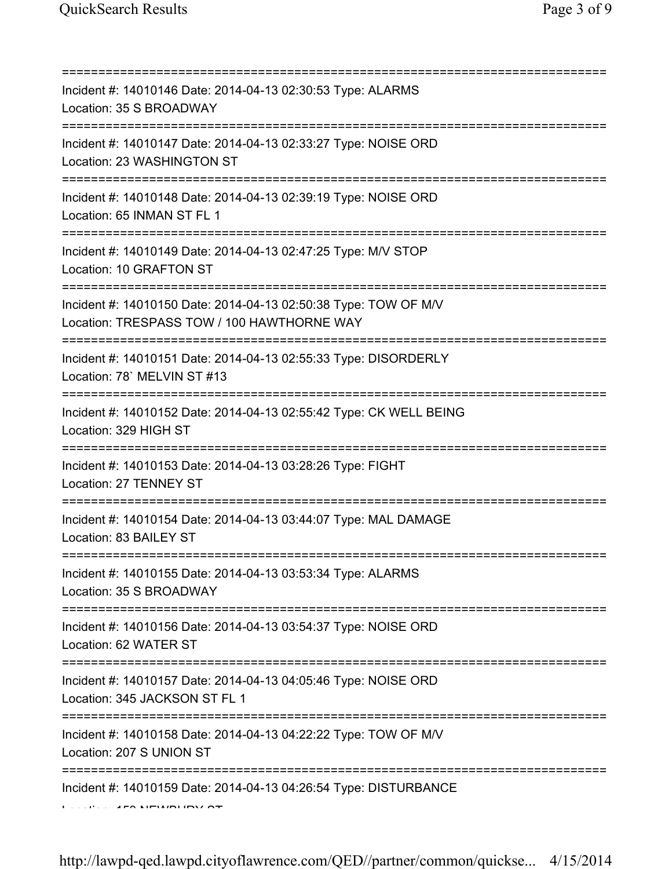| =======:<br>Incident #: 14010146 Date: 2014-04-13 02:30:53 Type: ALARMS<br>Location: 35 S BROADWAY                                                |
|---------------------------------------------------------------------------------------------------------------------------------------------------|
| Incident #: 14010147 Date: 2014-04-13 02:33:27 Type: NOISE ORD<br>Location: 23 WASHINGTON ST                                                      |
| Incident #: 14010148 Date: 2014-04-13 02:39:19 Type: NOISE ORD<br>Location: 65 INMAN ST FL 1                                                      |
| ;===================================<br>Incident #: 14010149 Date: 2014-04-13 02:47:25 Type: M/V STOP<br>Location: 10 GRAFTON ST                  |
| ;===============================<br>Incident #: 14010150 Date: 2014-04-13 02:50:38 Type: TOW OF M/V<br>Location: TRESPASS TOW / 100 HAWTHORNE WAY |
| Incident #: 14010151 Date: 2014-04-13 02:55:33 Type: DISORDERLY<br>Location: 78' MELVIN ST #13                                                    |
| Incident #: 14010152 Date: 2014-04-13 02:55:42 Type: CK WELL BEING<br>Location: 329 HIGH ST                                                       |
| Incident #: 14010153 Date: 2014-04-13 03:28:26 Type: FIGHT<br>Location: 27 TENNEY ST                                                              |
| Incident #: 14010154 Date: 2014-04-13 03:44:07 Type: MAL DAMAGE<br>Location: 83 BAILEY ST                                                         |
| Incident #: 14010155 Date: 2014-04-13 03:53:34 Type: ALARMS<br>Location: 35 S BROADWAY                                                            |
| :====================<br>Incident #: 14010156 Date: 2014-04-13 03:54:37 Type: NOISE ORD<br>Location: 62 WATER ST                                  |
| Incident #: 14010157 Date: 2014-04-13 04:05:46 Type: NOISE ORD<br>Location: 345 JACKSON ST FL 1                                                   |
| Incident #: 14010158 Date: 2014-04-13 04:22:22 Type: TOW OF M/V<br>Location: 207 S UNION ST                                                       |
| Incident #: 14010159 Date: 2014-04-13 04:26:54 Type: DISTURBANCE                                                                                  |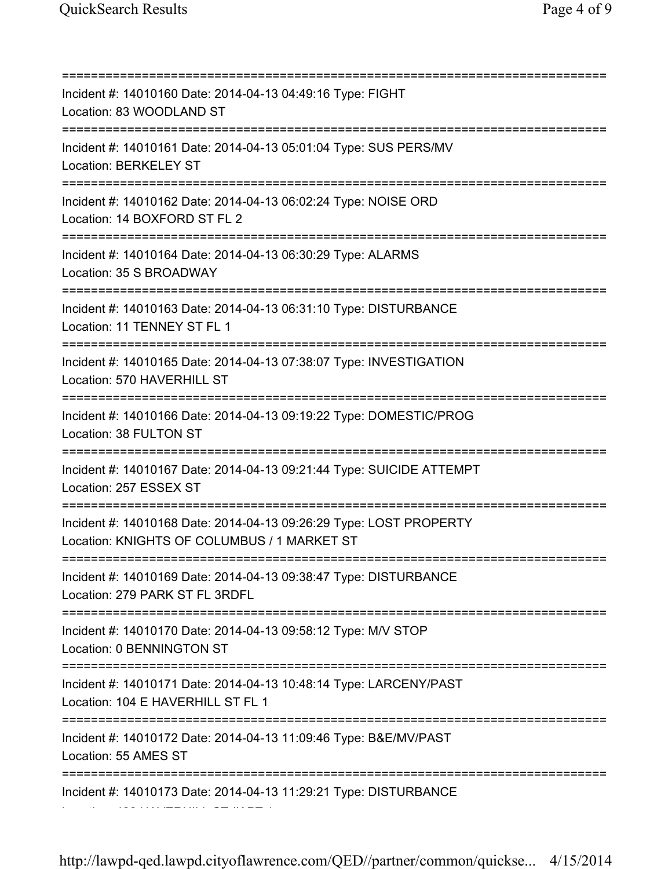=========================================================================== Incident #: 14010160 Date: 2014-04-13 04:49:16 Type: FIGHT Location: 83 WOODLAND ST =========================================================================== Incident #: 14010161 Date: 2014-04-13 05:01:04 Type: SUS PERS/MV Location: BERKELEY ST =========================================================================== Incident #: 14010162 Date: 2014-04-13 06:02:24 Type: NOISE ORD Location: 14 BOXFORD ST FL 2 =========================================================================== Incident #: 14010164 Date: 2014-04-13 06:30:29 Type: ALARMS Location: 35 S BROADWAY =========================================================================== Incident #: 14010163 Date: 2014-04-13 06:31:10 Type: DISTURBANCE Location: 11 TENNEY ST FL 1 =========================================================================== Incident #: 14010165 Date: 2014-04-13 07:38:07 Type: INVESTIGATION Location: 570 HAVERHILL ST =========================================================================== Incident #: 14010166 Date: 2014-04-13 09:19:22 Type: DOMESTIC/PROG Location: 38 FULTON ST =========================================================================== Incident #: 14010167 Date: 2014-04-13 09:21:44 Type: SUICIDE ATTEMPT Location: 257 ESSEX ST =========================================================================== Incident #: 14010168 Date: 2014-04-13 09:26:29 Type: LOST PROPERTY Location: KNIGHTS OF COLUMBUS / 1 MARKET ST =========================================================================== Incident #: 14010169 Date: 2014-04-13 09:38:47 Type: DISTURBANCE Location: 279 PARK ST FL 3RDFL =========================================================================== Incident #: 14010170 Date: 2014-04-13 09:58:12 Type: M/V STOP Location: 0 BENNINGTON ST =========================================================================== Incident #: 14010171 Date: 2014-04-13 10:48:14 Type: LARCENY/PAST Location: 104 E HAVERHILL ST FL 1 =========================================================================== Incident #: 14010172 Date: 2014-04-13 11:09:46 Type: B&E/MV/PAST Location: 55 AMES ST =========================================================================== Incident #: 14010173 Date: 2014-04-13 11:29:21 Type: DISTURBANCE Location: 486 HAVERHILL ST #APT 1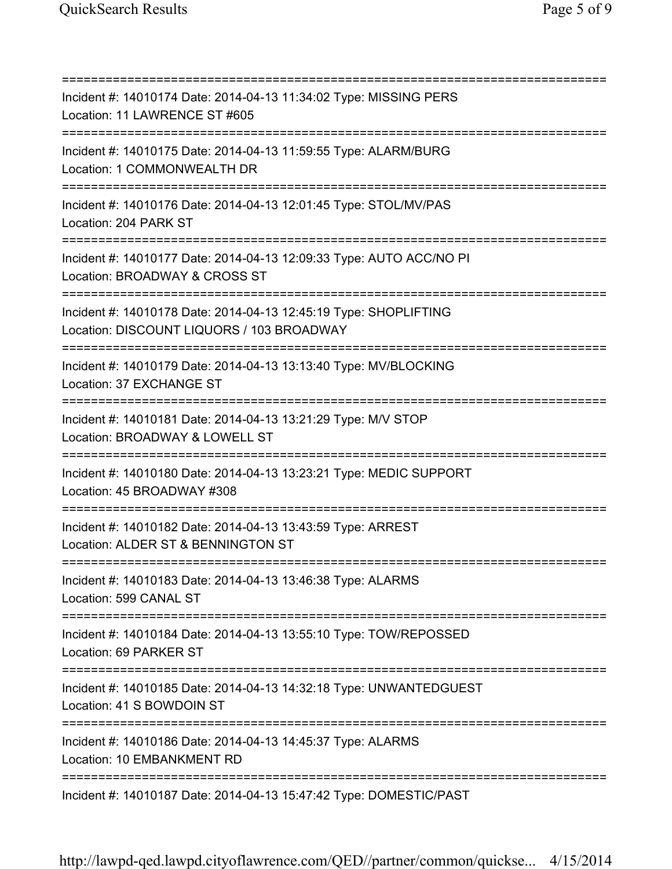=========================================================================== Incident #: 14010174 Date: 2014-04-13 11:34:02 Type: MISSING PERS Location: 11 LAWRENCE ST #605 =========================================================================== Incident #: 14010175 Date: 2014-04-13 11:59:55 Type: ALARM/BURG Location: 1 COMMONWEALTH DR =========================================================================== Incident #: 14010176 Date: 2014-04-13 12:01:45 Type: STOL/MV/PAS Location: 204 PARK ST =========================================================================== Incident #: 14010177 Date: 2014-04-13 12:09:33 Type: AUTO ACC/NO PI Location: BROADWAY & CROSS ST =========================================================================== Incident #: 14010178 Date: 2014-04-13 12:45:19 Type: SHOPLIFTING Location: DISCOUNT LIQUORS / 103 BROADWAY =========================================================================== Incident #: 14010179 Date: 2014-04-13 13:13:40 Type: MV/BLOCKING Location: 37 EXCHANGE ST =========================================================================== Incident #: 14010181 Date: 2014-04-13 13:21:29 Type: M/V STOP Location: BROADWAY & LOWELL ST =========================================================================== Incident #: 14010180 Date: 2014-04-13 13:23:21 Type: MEDIC SUPPORT Location: 45 BROADWAY #308 =========================================================================== Incident #: 14010182 Date: 2014-04-13 13:43:59 Type: ARREST Location: ALDER ST & BENNINGTON ST =========================================================================== Incident #: 14010183 Date: 2014-04-13 13:46:38 Type: ALARMS Location: 599 CANAL ST =========================================================================== Incident #: 14010184 Date: 2014-04-13 13:55:10 Type: TOW/REPOSSED Location: 69 PARKER ST =========================================================================== Incident #: 14010185 Date: 2014-04-13 14:32:18 Type: UNWANTEDGUEST Location: 41 S BOWDOIN ST =========================================================================== Incident #: 14010186 Date: 2014-04-13 14:45:37 Type: ALARMS Location: 10 EMBANKMENT RD =========================================================================== Incident #: 14010187 Date: 2014-04-13 15:47:42 Type: DOMESTIC/PAST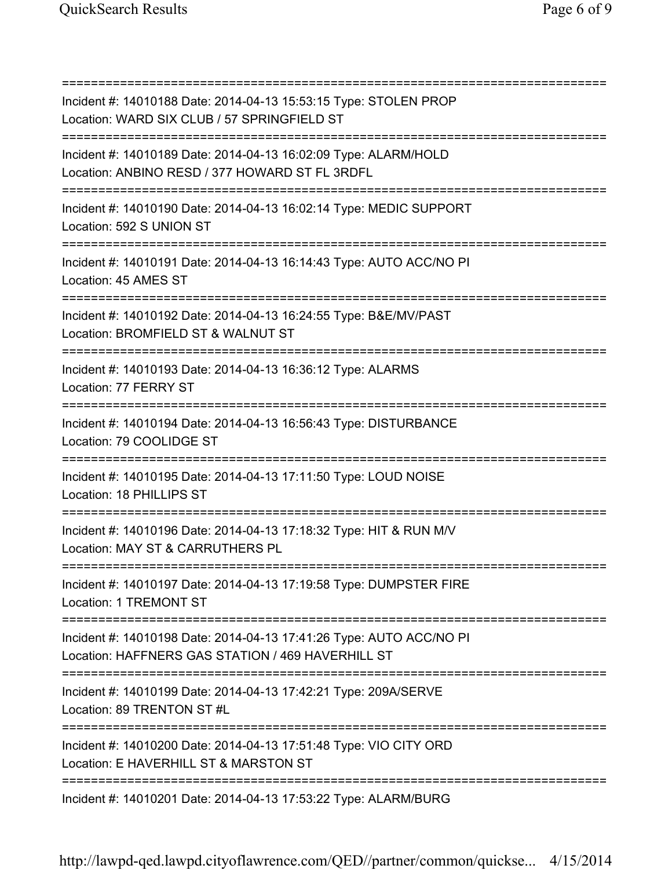=========================================================================== Incident #: 14010188 Date: 2014-04-13 15:53:15 Type: STOLEN PROP Location: WARD SIX CLUB / 57 SPRINGFIELD ST =========================================================================== Incident #: 14010189 Date: 2014-04-13 16:02:09 Type: ALARM/HOLD Location: ANBINO RESD / 377 HOWARD ST FL 3RDFL =========================================================================== Incident #: 14010190 Date: 2014-04-13 16:02:14 Type: MEDIC SUPPORT Location: 592 S UNION ST =========================================================================== Incident #: 14010191 Date: 2014-04-13 16:14:43 Type: AUTO ACC/NO PI Location: 45 AMES ST =========================================================================== Incident #: 14010192 Date: 2014-04-13 16:24:55 Type: B&E/MV/PAST Location: BROMFIELD ST & WALNUT ST =========================================================================== Incident #: 14010193 Date: 2014-04-13 16:36:12 Type: ALARMS Location: 77 FERRY ST =========================================================================== Incident #: 14010194 Date: 2014-04-13 16:56:43 Type: DISTURBANCE Location: 79 COOLIDGE ST =========================================================================== Incident #: 14010195 Date: 2014-04-13 17:11:50 Type: LOUD NOISE Location: 18 PHILLIPS ST =========================================================================== Incident #: 14010196 Date: 2014-04-13 17:18:32 Type: HIT & RUN M/V Location: MAY ST & CARRUTHERS PL =========================================================================== Incident #: 14010197 Date: 2014-04-13 17:19:58 Type: DUMPSTER FIRE Location: 1 TREMONT ST =========================================================================== Incident #: 14010198 Date: 2014-04-13 17:41:26 Type: AUTO ACC/NO PI Location: HAFFNERS GAS STATION / 469 HAVERHILL ST =========================================================================== Incident #: 14010199 Date: 2014-04-13 17:42:21 Type: 209A/SERVE Location: 89 TRENTON ST #L =========================================================================== Incident #: 14010200 Date: 2014-04-13 17:51:48 Type: VIO CITY ORD Location: E HAVERHILL ST & MARSTON ST =========================================================================== Incident #: 14010201 Date: 2014-04-13 17:53:22 Type: ALARM/BURG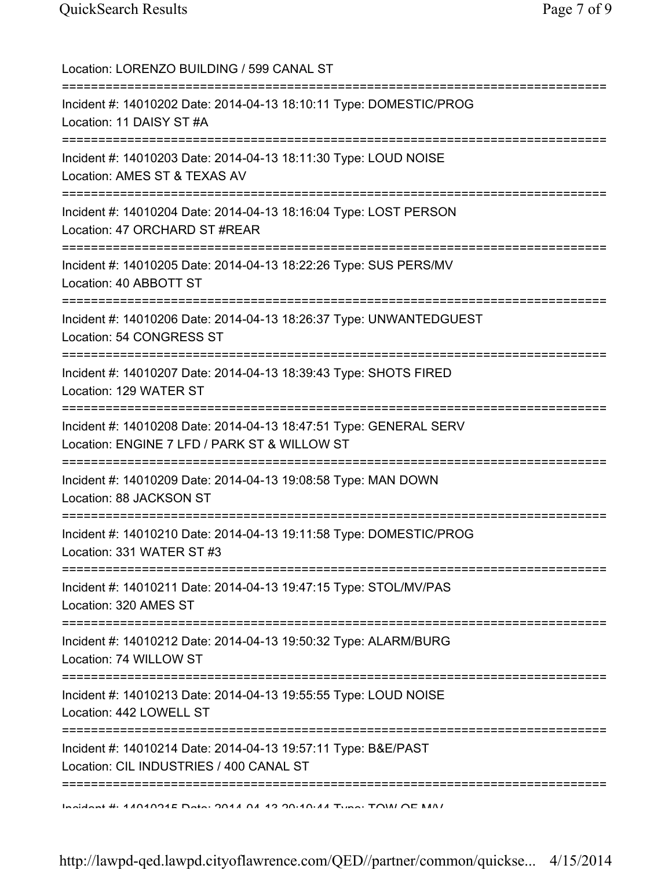| Location: LORENZO BUILDING / 599 CANAL ST<br>===========================                                                                               |
|--------------------------------------------------------------------------------------------------------------------------------------------------------|
| Incident #: 14010202 Date: 2014-04-13 18:10:11 Type: DOMESTIC/PROG<br>Location: 11 DAISY ST #A                                                         |
| Incident #: 14010203 Date: 2014-04-13 18:11:30 Type: LOUD NOISE<br>Location: AMES ST & TEXAS AV                                                        |
| Incident #: 14010204 Date: 2014-04-13 18:16:04 Type: LOST PERSON<br>Location: 47 ORCHARD ST #REAR                                                      |
| Incident #: 14010205 Date: 2014-04-13 18:22:26 Type: SUS PERS/MV<br>Location: 40 ABBOTT ST                                                             |
| Incident #: 14010206 Date: 2014-04-13 18:26:37 Type: UNWANTEDGUEST<br>Location: 54 CONGRESS ST                                                         |
| Incident #: 14010207 Date: 2014-04-13 18:39:43 Type: SHOTS FIRED<br>Location: 129 WATER ST                                                             |
| =================================<br>Incident #: 14010208 Date: 2014-04-13 18:47:51 Type: GENERAL SERV<br>Location: ENGINE 7 LFD / PARK ST & WILLOW ST |
| Incident #: 14010209 Date: 2014-04-13 19:08:58 Type: MAN DOWN<br>Location: 88 JACKSON ST                                                               |
| Incident #: 14010210 Date: 2014-04-13 19:11:58 Type: DOMESTIC/PROG<br>Location: 331 WATER ST #3                                                        |
| Incident #: 14010211 Date: 2014-04-13 19:47:15 Type: STOL/MV/PAS<br>Location: 320 AMES ST                                                              |
| Incident #: 14010212 Date: 2014-04-13 19:50:32 Type: ALARM/BURG<br>Location: 74 WILLOW ST                                                              |
| Incident #: 14010213 Date: 2014-04-13 19:55:55 Type: LOUD NOISE<br>Location: 442 LOWELL ST                                                             |
| Incident #: 14010214 Date: 2014-04-13 19:57:11 Type: B&E/PAST<br>Location: CIL INDUSTRIES / 400 CANAL ST                                               |
| Inaident #: 4.04001E Data: 004.4 04.40.00.40.44 Tune: TOIAI OE MAI                                                                                     |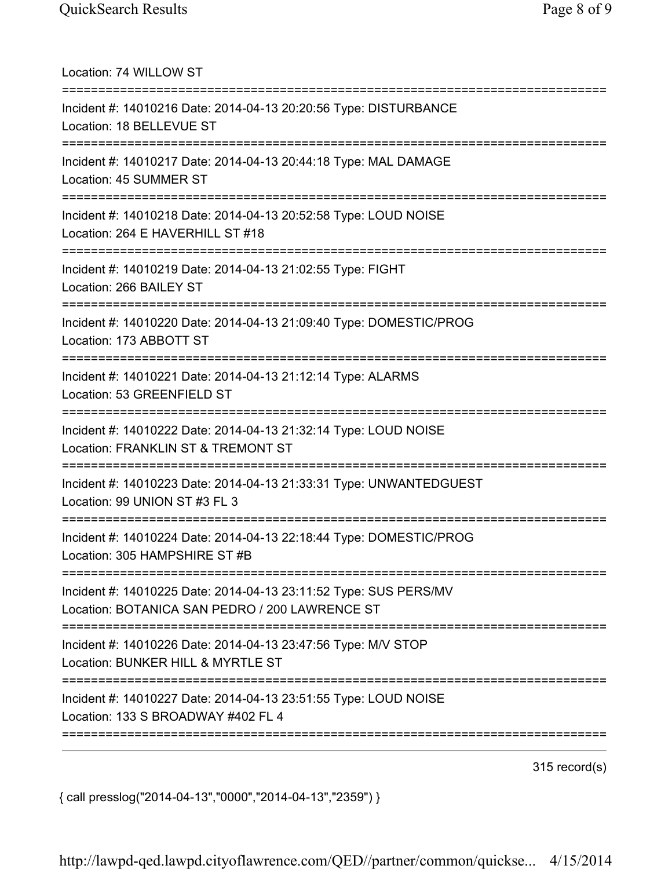Location: 74 WILLOW ST =========================================================================== Incident #: 14010216 Date: 2014-04-13 20:20:56 Type: DISTURBANCE Location: 18 BELLEVUE ST =========================================================================== Incident #: 14010217 Date: 2014-04-13 20:44:18 Type: MAL DAMAGE Location: 45 SUMMER ST =========================================================================== Incident #: 14010218 Date: 2014-04-13 20:52:58 Type: LOUD NOISE Location: 264 E HAVERHILL ST #18 =========================================================================== Incident #: 14010219 Date: 2014-04-13 21:02:55 Type: FIGHT Location: 266 BAILEY ST =========================================================================== Incident #: 14010220 Date: 2014-04-13 21:09:40 Type: DOMESTIC/PROG Location: 173 ABBOTT ST =========================================================================== Incident #: 14010221 Date: 2014-04-13 21:12:14 Type: ALARMS Location: 53 GREENFIELD ST =========================================================================== Incident #: 14010222 Date: 2014-04-13 21:32:14 Type: LOUD NOISE Location: FRANKLIN ST & TREMONT ST =========================================================================== Incident #: 14010223 Date: 2014-04-13 21:33:31 Type: UNWANTEDGUEST Location: 99 UNION ST #3 FL 3 =========================================================================== Incident #: 14010224 Date: 2014-04-13 22:18:44 Type: DOMESTIC/PROG Location: 305 HAMPSHIRE ST #B =========================================================================== Incident #: 14010225 Date: 2014-04-13 23:11:52 Type: SUS PERS/MV Location: BOTANICA SAN PEDRO / 200 LAWRENCE ST =========================================================================== Incident #: 14010226 Date: 2014-04-13 23:47:56 Type: M/V STOP Location: BUNKER HILL & MYRTLE ST =========================================================================== Incident #: 14010227 Date: 2014-04-13 23:51:55 Type: LOUD NOISE Location: 133 S BROADWAY #402 FL 4 ===========================================================================

315 record(s)

{ call presslog("2014-04-13","0000","2014-04-13","2359") }